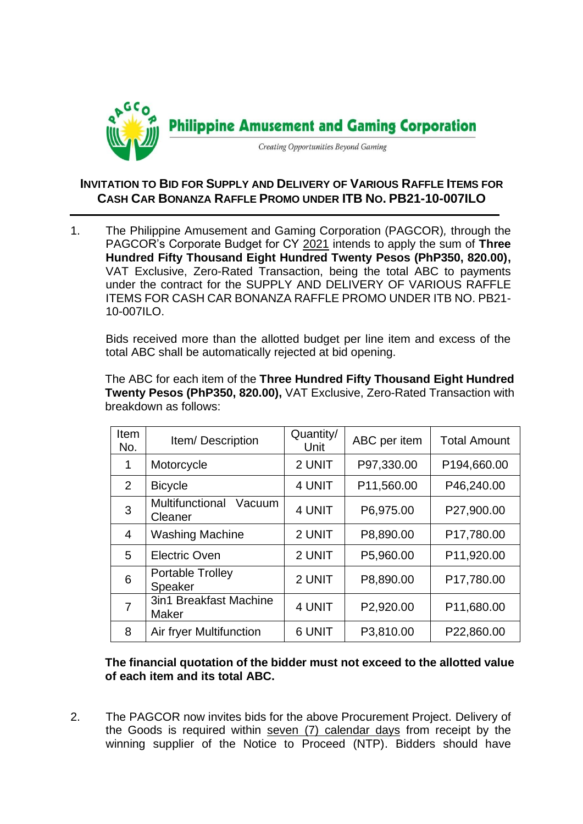

## **INVITATION TO BID FOR SUPPLY AND DELIVERY OF VARIOUS RAFFLE ITEMS FOR CASH CAR BONANZA RAFFLE PROMO UNDER ITB NO. PB21-10-007ILO**

1. The Philippine Amusement and Gaming Corporation (PAGCOR)*,* through the PAGCOR's Corporate Budget for CY 2021 intends to apply the sum of **Three Hundred Fifty Thousand Eight Hundred Twenty Pesos (PhP350, 820.00),** VAT Exclusive, Zero-Rated Transaction, being the total ABC to payments under the contract for the SUPPLY AND DELIVERY OF VARIOUS RAFFLE ITEMS FOR CASH CAR BONANZA RAFFLE PROMO UNDER ITB NO. PB21- 10-007ILO.

Bids received more than the allotted budget per line item and excess of the total ABC shall be automatically rejected at bid opening.

The ABC for each item of the **Three Hundred Fifty Thousand Eight Hundred Twenty Pesos (PhP350, 820.00),** VAT Exclusive, Zero-Rated Transaction with breakdown as follows:

| Item<br>No.    | Item/Description                            | Quantity/<br>Unit | ABC per item | <b>Total Amount</b> |
|----------------|---------------------------------------------|-------------------|--------------|---------------------|
| 1              | Motorcycle                                  | 2 UNIT            | P97,330.00   | P194,660.00         |
| $\overline{2}$ | <b>Bicycle</b>                              | 4 UNIT            | P11,560.00   | P46,240.00          |
| 3              | <b>Multifunctional</b><br>Vacuum<br>Cleaner | 4 UNIT            | P6,975.00    | P27,900.00          |
| $\overline{4}$ | <b>Washing Machine</b>                      | 2 UNIT            | P8,890.00    | P17,780.00          |
| 5              | <b>Electric Oven</b>                        | 2 UNIT            | P5,960.00    | P11,920.00          |
| 6              | <b>Portable Trolley</b><br>Speaker          | 2 UNIT            | P8,890.00    | P17,780.00          |
| $\overline{7}$ | 3in1 Breakfast Machine<br><b>Maker</b>      | 4 UNIT            | P2,920.00    | P11,680.00          |
| 8              | Air fryer Multifunction                     | <b>6 UNIT</b>     | P3,810.00    | P22,860.00          |

**The financial quotation of the bidder must not exceed to the allotted value of each item and its total ABC.**

2. The PAGCOR now invites bids for the above Procurement Project. Delivery of the Goods is required within seven (7) calendar days from receipt by the winning supplier of the Notice to Proceed (NTP). Bidders should have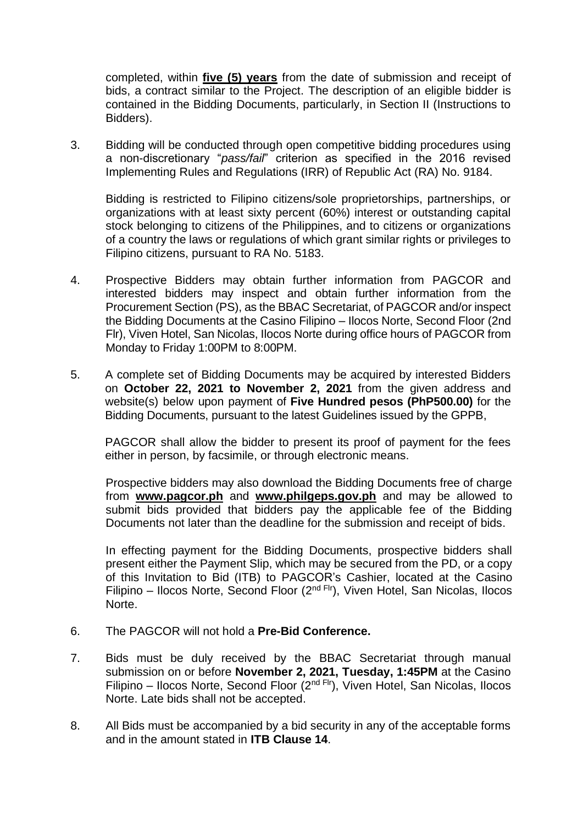completed, within **five (5) years** from the date of submission and receipt of bids, a contract similar to the Project. The description of an eligible bidder is contained in the Bidding Documents, particularly, in Section II (Instructions to Bidders).

3. Bidding will be conducted through open competitive bidding procedures using a non-discretionary "*pass/fail*" criterion as specified in the 2016 revised Implementing Rules and Regulations (IRR) of Republic Act (RA) No. 9184.

Bidding is restricted to Filipino citizens/sole proprietorships, partnerships, or organizations with at least sixty percent (60%) interest or outstanding capital stock belonging to citizens of the Philippines, and to citizens or organizations of a country the laws or regulations of which grant similar rights or privileges to Filipino citizens, pursuant to RA No. 5183.

- 4. Prospective Bidders may obtain further information from PAGCOR and interested bidders may inspect and obtain further information from the Procurement Section (PS), as the BBAC Secretariat, of PAGCOR and/or inspect the Bidding Documents at the Casino Filipino – Ilocos Norte, Second Floor (2nd Flr), Viven Hotel, San Nicolas, Ilocos Norte during office hours of PAGCOR from Monday to Friday 1:00PM to 8:00PM.
- 5. A complete set of Bidding Documents may be acquired by interested Bidders on **October 22, 2021 to November 2, 2021** from the given address and website(s) below upon payment of **Five Hundred pesos (PhP500.00)** for the Bidding Documents, pursuant to the latest Guidelines issued by the GPPB,

PAGCOR shall allow the bidder to present its proof of payment for the fees either in person, by facsimile, or through electronic means.

Prospective bidders may also download the Bidding Documents free of charge from **[www.pagcor.ph](http://www.pagcor.ph/)** and **www.philgeps.gov.ph** and may be allowed to submit bids provided that bidders pay the applicable fee of the Bidding Documents not later than the deadline for the submission and receipt of bids.

In effecting payment for the Bidding Documents, prospective bidders shall present either the Payment Slip, which may be secured from the PD, or a copy of this Invitation to Bid (ITB) to PAGCOR's Cashier, located at the Casino Filipino – Ilocos Norte, Second Floor ( $2<sup>nd Fri</sup>$ ), Viven Hotel, San Nicolas, Ilocos Norte.

- 6. The PAGCOR will not hold a **Pre-Bid Conference.**
- 7. Bids must be duly received by the BBAC Secretariat through manual submission on or before **November 2, 2021, Tuesday, 1:45PM** at the Casino Filipino – Ilocos Norte, Second Floor ( $2<sup>nd Fri</sup>$ ), Viven Hotel, San Nicolas, Ilocos Norte. Late bids shall not be accepted.
- 8. All Bids must be accompanied by a bid security in any of the acceptable forms and in the amount stated in **ITB Clause 14**.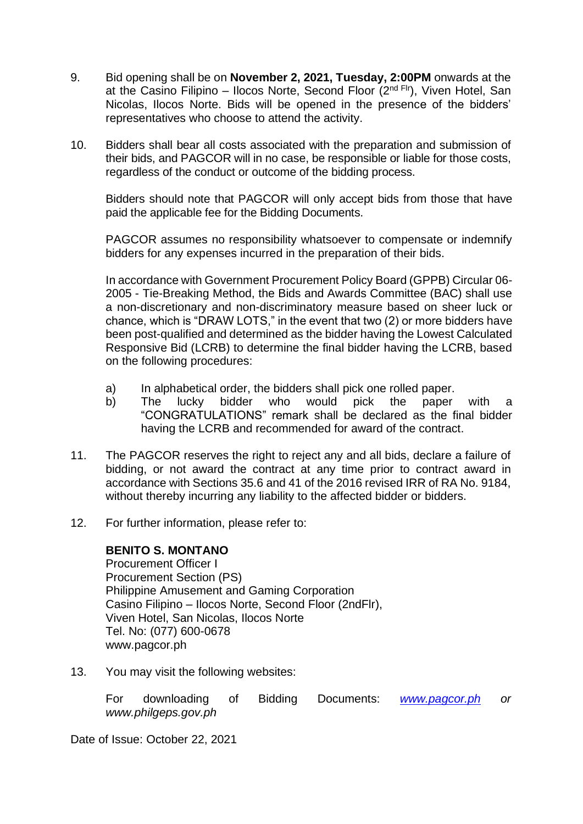- 9. Bid opening shall be on **November 2, 2021, Tuesday, 2:00PM** onwards at the at the Casino Filipino – Ilocos Norte, Second Floor  $(2^{nd}$  Flr), Viven Hotel, San Nicolas, Ilocos Norte. Bids will be opened in the presence of the bidders' representatives who choose to attend the activity.
- 10. Bidders shall bear all costs associated with the preparation and submission of their bids, and PAGCOR will in no case, be responsible or liable for those costs, regardless of the conduct or outcome of the bidding process.

Bidders should note that PAGCOR will only accept bids from those that have paid the applicable fee for the Bidding Documents.

PAGCOR assumes no responsibility whatsoever to compensate or indemnify bidders for any expenses incurred in the preparation of their bids.

In accordance with Government Procurement Policy Board (GPPB) Circular 06- 2005 - Tie-Breaking Method, the Bids and Awards Committee (BAC) shall use a non-discretionary and non-discriminatory measure based on sheer luck or chance, which is "DRAW LOTS," in the event that two (2) or more bidders have been post-qualified and determined as the bidder having the Lowest Calculated Responsive Bid (LCRB) to determine the final bidder having the LCRB, based on the following procedures:

- a) In alphabetical order, the bidders shall pick one rolled paper.
- b) The lucky bidder who would pick the paper with a "CONGRATULATIONS" remark shall be declared as the final bidder having the LCRB and recommended for award of the contract.
- 11. The PAGCOR reserves the right to reject any and all bids, declare a failure of bidding, or not award the contract at any time prior to contract award in accordance with Sections 35.6 and 41 of the 2016 revised IRR of RA No. 9184, without thereby incurring any liability to the affected bidder or bidders.
- 12. For further information, please refer to:

## **BENITO S. MONTANO**

Procurement Officer I Procurement Section (PS) Philippine Amusement and Gaming Corporation Casino Filipino – Ilocos Norte, Second Floor (2ndFlr), Viven Hotel, San Nicolas, Ilocos Norte Tel. No: (077) 600-0678 www.pagcor.ph

13. You may visit the following websites:

For downloading of Bidding Documents: *[www.pagcor.ph](http://www.pagcor.ph/) or www.philgeps.gov.ph*

Date of Issue: October 22, 2021